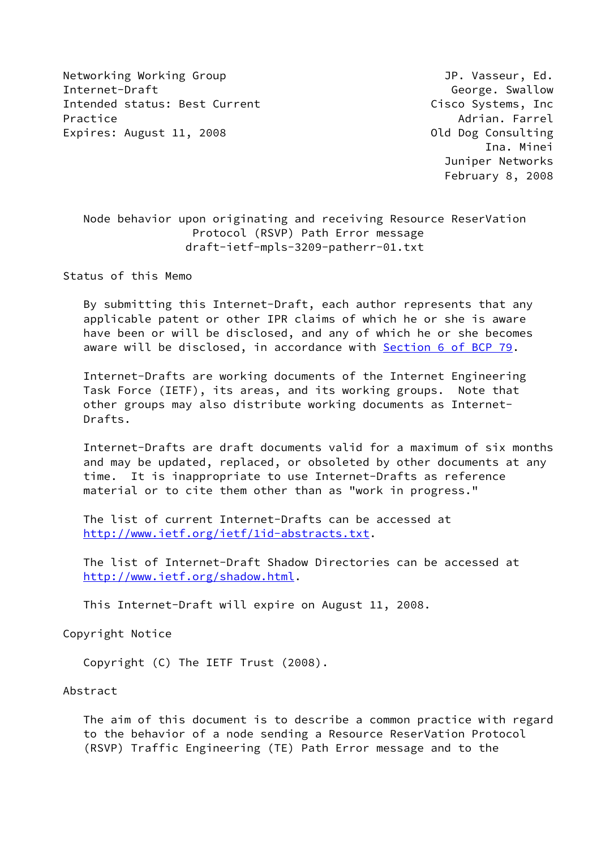Networking Working Group **Group Accompany** JP. Vasseur, Ed. Internet-Draft George. Swallow Intended status: Best Current Cisco Systems, Inc Practice Adrian. Farrel Adrian. Farrel Adrian. Farrel Adrian. Farrel Adrian. Farrel Adrian. Farrel Adrian. Farrel Adrian. Farrel Adrian. The Adrian Adrian. The Adrian Adrian Adrian. The Adrian Adrian Adrian Adrian Adrian A Expires: August 11, 2008 **Canadian Consulting** Old Dog Consulting

 Ina. Minei Juniper Networks February 8, 2008

 Node behavior upon originating and receiving Resource ReserVation Protocol (RSVP) Path Error message draft-ietf-mpls-3209-patherr-01.txt

Status of this Memo

 By submitting this Internet-Draft, each author represents that any applicable patent or other IPR claims of which he or she is aware have been or will be disclosed, and any of which he or she becomes aware will be disclosed, in accordance with Section [6 of BCP 79.](https://datatracker.ietf.org/doc/pdf/bcp79#section-6)

 Internet-Drafts are working documents of the Internet Engineering Task Force (IETF), its areas, and its working groups. Note that other groups may also distribute working documents as Internet- Drafts.

 Internet-Drafts are draft documents valid for a maximum of six months and may be updated, replaced, or obsoleted by other documents at any time. It is inappropriate to use Internet-Drafts as reference material or to cite them other than as "work in progress."

 The list of current Internet-Drafts can be accessed at <http://www.ietf.org/ietf/1id-abstracts.txt>.

 The list of Internet-Draft Shadow Directories can be accessed at <http://www.ietf.org/shadow.html>.

This Internet-Draft will expire on August 11, 2008.

Copyright Notice

Copyright (C) The IETF Trust (2008).

## Abstract

 The aim of this document is to describe a common practice with regard to the behavior of a node sending a Resource ReserVation Protocol (RSVP) Traffic Engineering (TE) Path Error message and to the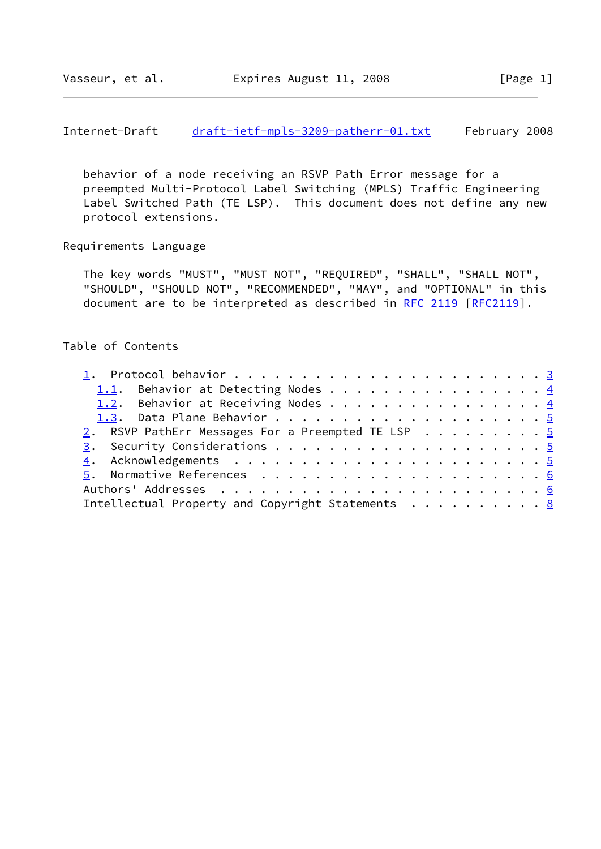Internet-Draft [draft-ietf-mpls-3209-patherr-01.txt](https://datatracker.ietf.org/doc/pdf/draft-ietf-mpls-3209-patherr-01.txt) February 2008

 behavior of a node receiving an RSVP Path Error message for a preempted Multi-Protocol Label Switching (MPLS) Traffic Engineering Label Switched Path (TE LSP). This document does not define any new protocol extensions.

Requirements Language

 The key words "MUST", "MUST NOT", "REQUIRED", "SHALL", "SHALL NOT", "SHOULD", "SHOULD NOT", "RECOMMENDED", "MAY", and "OPTIONAL" in this document are to be interpreted as described in [RFC 2119 \[RFC2119](https://datatracker.ietf.org/doc/pdf/rfc2119)].

# Table of Contents

| 1.1. Behavior at Detecting Nodes 4                                    |  |
|-----------------------------------------------------------------------|--|
| 1.2. Behavior at Receiving Nodes 4                                    |  |
|                                                                       |  |
| 2. RSVP PathErr Messages For a Preempted TE LSP 5                     |  |
|                                                                       |  |
|                                                                       |  |
|                                                                       |  |
|                                                                       |  |
| Intellectual Property and Copyright Statements $\ldots \ldots \ldots$ |  |
|                                                                       |  |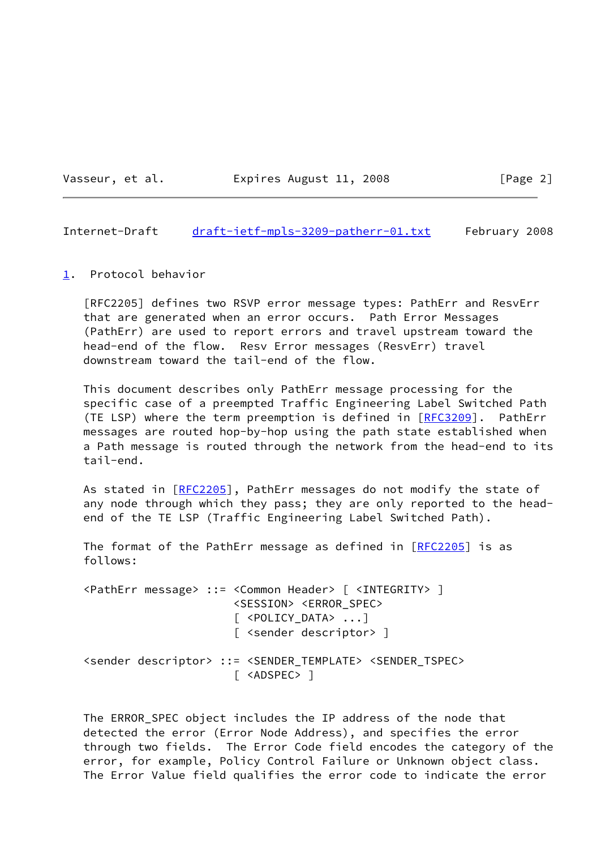Vasseur, et al. **Expires August 11, 2008** [Page 2]

<span id="page-2-1"></span>Internet-Draft [draft-ietf-mpls-3209-patherr-01.txt](https://datatracker.ietf.org/doc/pdf/draft-ietf-mpls-3209-patherr-01.txt) February 2008

<span id="page-2-0"></span>[1](#page-2-0). Protocol behavior

 [RFC2205] defines two RSVP error message types: PathErr and ResvErr that are generated when an error occurs. Path Error Messages (PathErr) are used to report errors and travel upstream toward the head-end of the flow. Resv Error messages (ResvErr) travel downstream toward the tail-end of the flow.

 This document describes only PathErr message processing for the specific case of a preempted Traffic Engineering Label Switched Path (TE LSP) where the term preemption is defined in [\[RFC3209](https://datatracker.ietf.org/doc/pdf/rfc3209)]. PathErr messages are routed hop-by-hop using the path state established when a Path message is routed through the network from the head-end to its tail-end.

As stated in [\[RFC2205](https://datatracker.ietf.org/doc/pdf/rfc2205)], PathErr messages do not modify the state of any node through which they pass; they are only reported to the head end of the TE LSP (Traffic Engineering Label Switched Path).

The format of the PathErr message as defined in [\[RFC2205](https://datatracker.ietf.org/doc/pdf/rfc2205)] is as follows:

 <PathErr message> ::= <Common Header> [ <INTEGRITY> ] <SESSION> <ERROR\_SPEC> [ <POLICY\_DATA> ...] [ <sender descriptor> ] <sender descriptor> ::= <SENDER\_TEMPLATE> <SENDER\_TSPEC> [ <ADSPEC> ]

 The ERROR\_SPEC object includes the IP address of the node that detected the error (Error Node Address), and specifies the error through two fields. The Error Code field encodes the category of the error, for example, Policy Control Failure or Unknown object class. The Error Value field qualifies the error code to indicate the error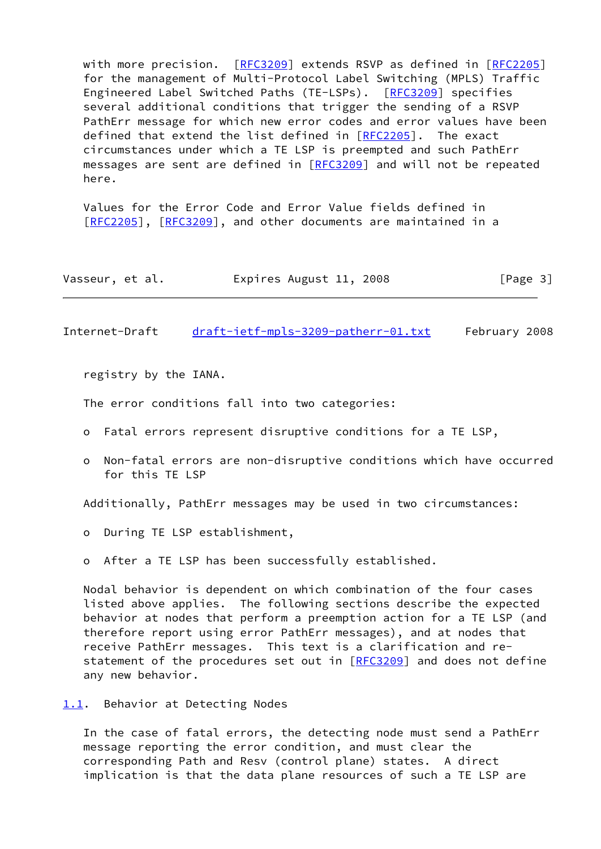with more precision. [[RFC3209](https://datatracker.ietf.org/doc/pdf/rfc3209)] extends RSVP as defined in [[RFC2205\]](https://datatracker.ietf.org/doc/pdf/rfc2205) for the management of Multi-Protocol Label Switching (MPLS) Traffic Engineered Label Switched Paths (TE-LSPs). [\[RFC3209](https://datatracker.ietf.org/doc/pdf/rfc3209)] specifies several additional conditions that trigger the sending of a RSVP PathErr message for which new error codes and error values have been defined that extend the list defined in [\[RFC2205](https://datatracker.ietf.org/doc/pdf/rfc2205)]. The exact circumstances under which a TE LSP is preempted and such PathErr messages are sent are defined in [\[RFC3209](https://datatracker.ietf.org/doc/pdf/rfc3209)] and will not be repeated here.

 Values for the Error Code and Error Value fields defined in [\[RFC2205](https://datatracker.ietf.org/doc/pdf/rfc2205)], [[RFC3209\]](https://datatracker.ietf.org/doc/pdf/rfc3209), and other documents are maintained in a

| Vasseur, et al. | Expires August 11, 2008 | [Page 3] |
|-----------------|-------------------------|----------|
|-----------------|-------------------------|----------|

<span id="page-3-1"></span>Internet-Draft [draft-ietf-mpls-3209-patherr-01.txt](https://datatracker.ietf.org/doc/pdf/draft-ietf-mpls-3209-patherr-01.txt) February 2008

registry by the IANA.

The error conditions fall into two categories:

- o Fatal errors represent disruptive conditions for a TE LSP,
- o Non-fatal errors are non-disruptive conditions which have occurred for this TE LSP

Additionally, PathErr messages may be used in two circumstances:

o During TE LSP establishment,

o After a TE LSP has been successfully established.

 Nodal behavior is dependent on which combination of the four cases listed above applies. The following sections describe the expected behavior at nodes that perform a preemption action for a TE LSP (and therefore report using error PathErr messages), and at nodes that receive PathErr messages. This text is a clarification and re- statement of the procedures set out in [\[RFC3209](https://datatracker.ietf.org/doc/pdf/rfc3209)] and does not define any new behavior.

<span id="page-3-0"></span>[1.1](#page-3-0). Behavior at Detecting Nodes

 In the case of fatal errors, the detecting node must send a PathErr message reporting the error condition, and must clear the corresponding Path and Resv (control plane) states. A direct implication is that the data plane resources of such a TE LSP are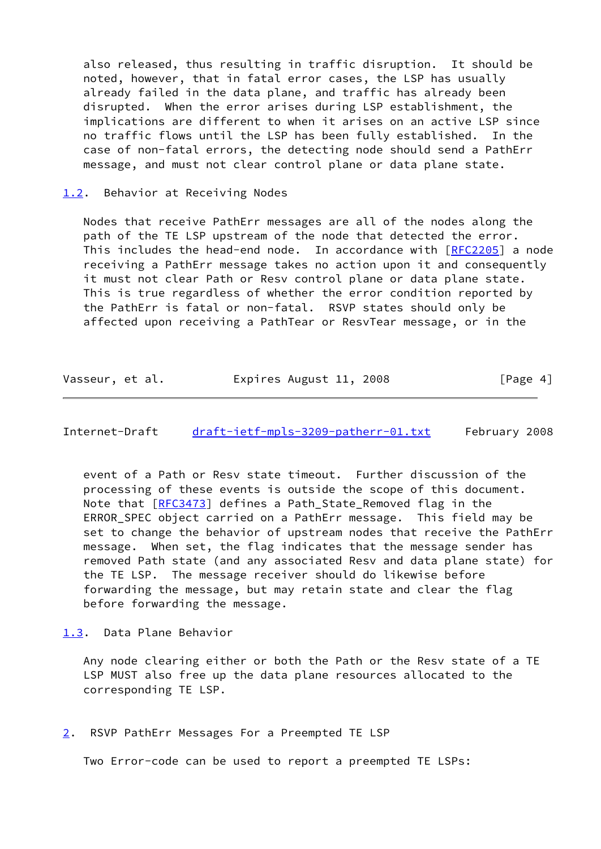also released, thus resulting in traffic disruption. It should be noted, however, that in fatal error cases, the LSP has usually already failed in the data plane, and traffic has already been disrupted. When the error arises during LSP establishment, the implications are different to when it arises on an active LSP since no traffic flows until the LSP has been fully established. In the case of non-fatal errors, the detecting node should send a PathErr message, and must not clear control plane or data plane state.

#### <span id="page-4-0"></span>[1.2](#page-4-0). Behavior at Receiving Nodes

 Nodes that receive PathErr messages are all of the nodes along the path of the TE LSP upstream of the node that detected the error. This includes the head-end node. In accordance with [\[RFC2205](https://datatracker.ietf.org/doc/pdf/rfc2205)] a node receiving a PathErr message takes no action upon it and consequently it must not clear Path or Resv control plane or data plane state. This is true regardless of whether the error condition reported by the PathErr is fatal or non-fatal. RSVP states should only be affected upon receiving a PathTear or ResvTear message, or in the

| Vasseur, et al. | Expires August 11, 2008 | [Page 4] |
|-----------------|-------------------------|----------|
|-----------------|-------------------------|----------|

<span id="page-4-2"></span>Internet-Draft [draft-ietf-mpls-3209-patherr-01.txt](https://datatracker.ietf.org/doc/pdf/draft-ietf-mpls-3209-patherr-01.txt) February 2008

 event of a Path or Resv state timeout. Further discussion of the processing of these events is outside the scope of this document. Note that [[RFC3473](https://datatracker.ietf.org/doc/pdf/rfc3473)] defines a Path\_State\_Removed flag in the ERROR SPEC object carried on a PathErr message. This field may be set to change the behavior of upstream nodes that receive the PathErr message. When set, the flag indicates that the message sender has removed Path state (and any associated Resv and data plane state) for the TE LSP. The message receiver should do likewise before forwarding the message, but may retain state and clear the flag before forwarding the message.

<span id="page-4-1"></span>[1.3](#page-4-1). Data Plane Behavior

 Any node clearing either or both the Path or the Resv state of a TE LSP MUST also free up the data plane resources allocated to the corresponding TE LSP.

<span id="page-4-3"></span>[2](#page-4-3). RSVP PathErr Messages For a Preempted TE LSP

Two Error-code can be used to report a preempted TE LSPs: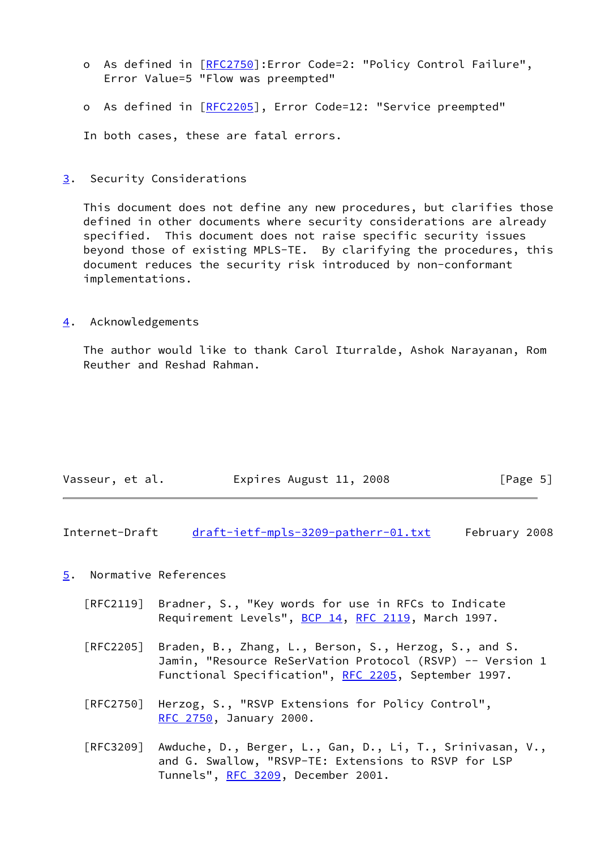- o As defined in [\[RFC2750](https://datatracker.ietf.org/doc/pdf/rfc2750)]: Error Code=2: "Policy Control Failure", Error Value=5 "Flow was preempted"
- o As defined in [\[RFC2205](https://datatracker.ietf.org/doc/pdf/rfc2205)], Error Code=12: "Service preempted"

In both cases, these are fatal errors.

<span id="page-5-0"></span>[3](#page-5-0). Security Considerations

 This document does not define any new procedures, but clarifies those defined in other documents where security considerations are already specified. This document does not raise specific security issues beyond those of existing MPLS-TE. By clarifying the procedures, this document reduces the security risk introduced by non-conformant implementations.

<span id="page-5-1"></span>[4](#page-5-1). Acknowledgements

 The author would like to thank Carol Iturralde, Ashok Narayanan, Rom Reuther and Reshad Rahman.

| Vasseur, et al. | Expires August 11, 2008 | [Page 5] |
|-----------------|-------------------------|----------|
|                 |                         |          |

<span id="page-5-3"></span>Internet-Draft [draft-ietf-mpls-3209-patherr-01.txt](https://datatracker.ietf.org/doc/pdf/draft-ietf-mpls-3209-patherr-01.txt) February 2008

# <span id="page-5-2"></span>[5](#page-5-2). Normative References

- [RFC2119] Bradner, S., "Key words for use in RFCs to Indicate Requirement Levels", [BCP 14](https://datatracker.ietf.org/doc/pdf/bcp14), [RFC 2119](https://datatracker.ietf.org/doc/pdf/rfc2119), March 1997.
- [RFC2205] Braden, B., Zhang, L., Berson, S., Herzog, S., and S. Jamin, "Resource ReSerVation Protocol (RSVP) -- Version 1 Functional Specification", [RFC 2205](https://datatracker.ietf.org/doc/pdf/rfc2205), September 1997.
- [RFC2750] Herzog, S., "RSVP Extensions for Policy Control", [RFC 2750,](https://datatracker.ietf.org/doc/pdf/rfc2750) January 2000.
- [RFC3209] Awduche, D., Berger, L., Gan, D., Li, T., Srinivasan, V., and G. Swallow, "RSVP-TE: Extensions to RSVP for LSP Tunnels", [RFC 3209](https://datatracker.ietf.org/doc/pdf/rfc3209), December 2001.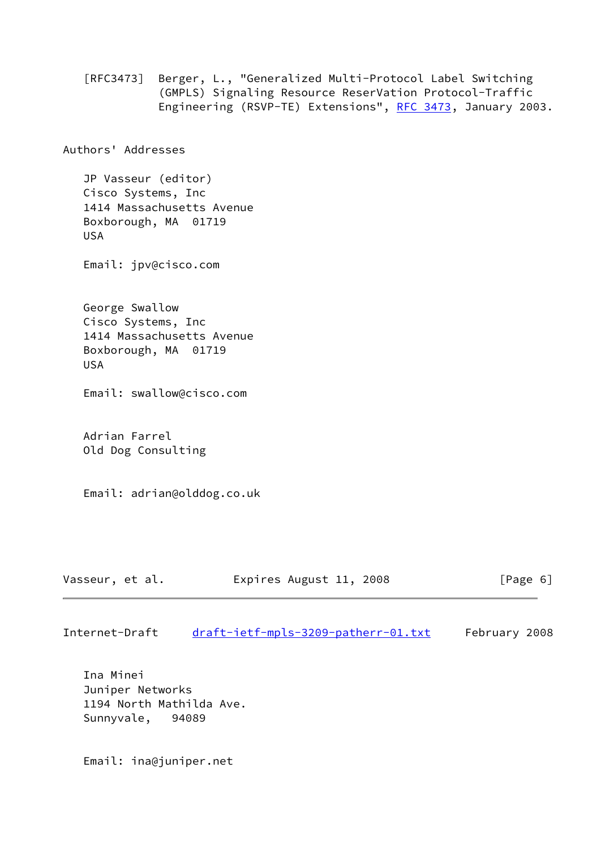[RFC3473] Berger, L., "Generalized Multi-Protocol Label Switching (GMPLS) Signaling Resource ReserVation Protocol-Traffic Engineering (RSVP-TE) Extensions", [RFC 3473](https://datatracker.ietf.org/doc/pdf/rfc3473), January 2003.

Authors' Addresses

 JP Vasseur (editor) Cisco Systems, Inc 1414 Massachusetts Avenue Boxborough, MA 01719 USA

Email: jpv@cisco.com

 George Swallow Cisco Systems, Inc 1414 Massachusetts Avenue Boxborough, MA 01719 USA

Email: swallow@cisco.com

 Adrian Farrel Old Dog Consulting

Email: adrian@olddog.co.uk

| Vasseur, et al.<br>Expires August 11, 2008<br>[Page 6] |  |
|--------------------------------------------------------|--|
|--------------------------------------------------------|--|

Internet-Draft [draft-ietf-mpls-3209-patherr-01.txt](https://datatracker.ietf.org/doc/pdf/draft-ietf-mpls-3209-patherr-01.txt) February 2008

 Ina Minei Juniper Networks 1194 North Mathilda Ave. Sunnyvale, 94089

Email: ina@juniper.net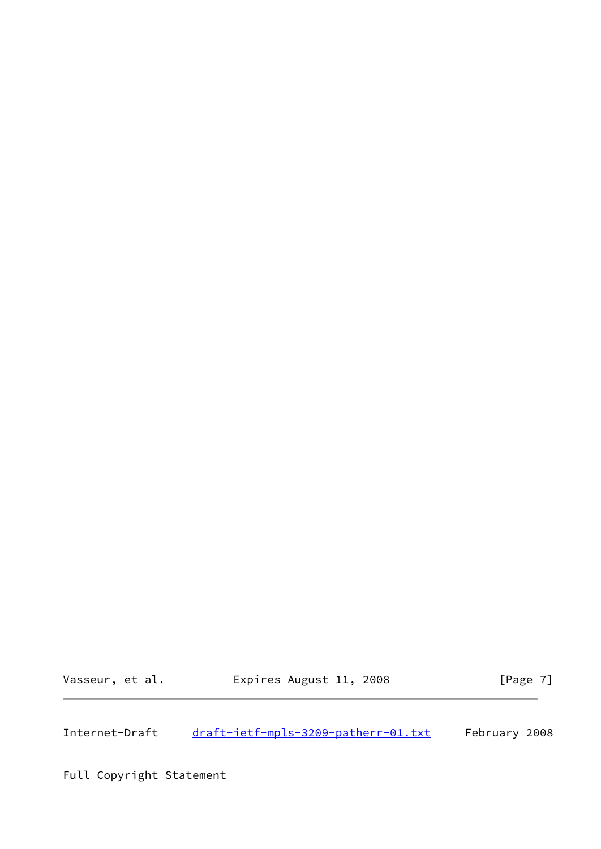Vasseur, et al. **Expires August 11, 2008** [Page 7]

<span id="page-7-0"></span>Internet-Draft [draft-ietf-mpls-3209-patherr-01.txt](https://datatracker.ietf.org/doc/pdf/draft-ietf-mpls-3209-patherr-01.txt) February 2008

Full Copyright Statement